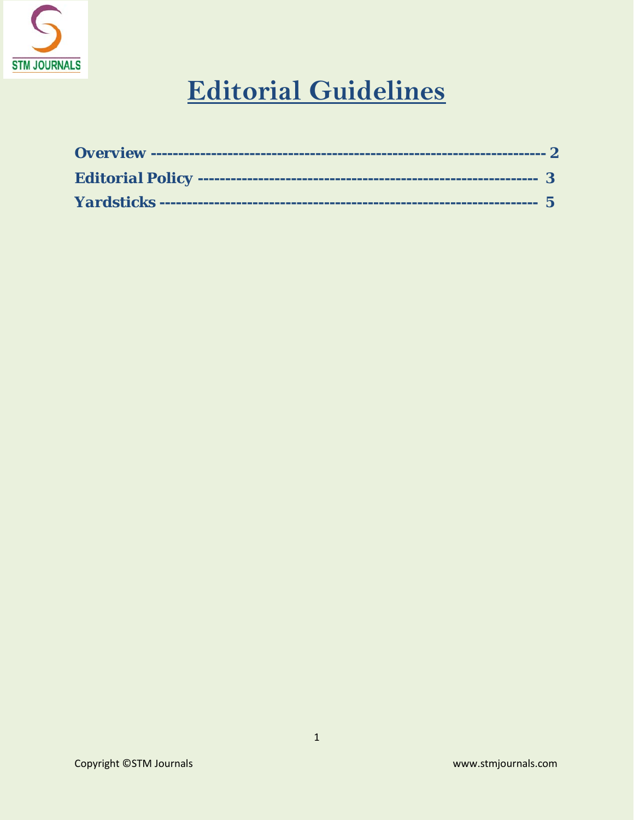

# **Editorial Guidelines**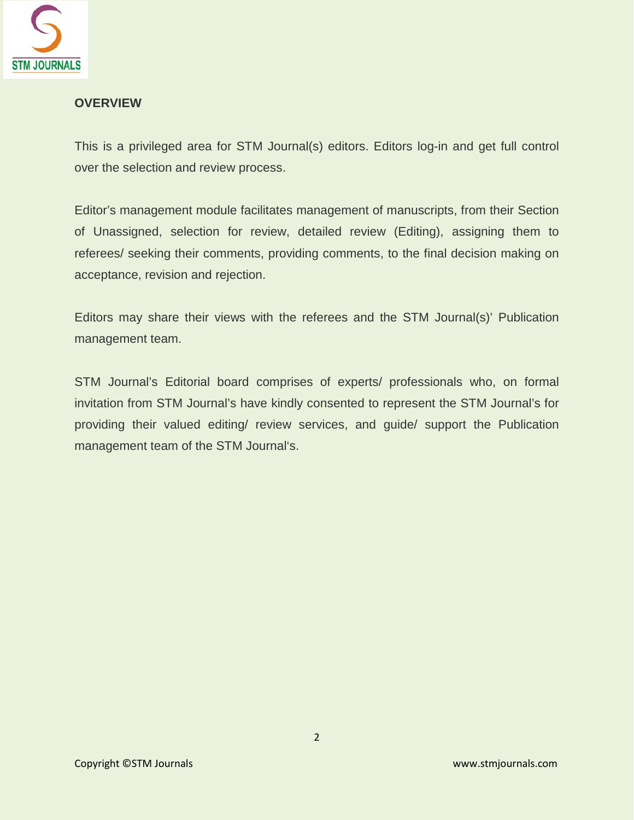

#### **OVERVIEW**

This is a privileged area for STM Journal(s) editors. Editors log-in and get full control over the selection and review process.

Editor's management module facilitates management of manuscripts, from their Section of Unassigned, selection for review, detailed review (Editing), assigning them to referees/ seeking their comments, providing comments, to the final decision making on acceptance, revision and rejection.

Editors may share their views with the referees and the STM Journal(s)' Publication management team.

STM Journal's Editorial board comprises of experts/ professionals who, on formal invitation from STM Journal's have kindly consented to represent the STM Journal's for providing their valued editing/ review services, and guide/ support the Publication management team of the STM Journal's.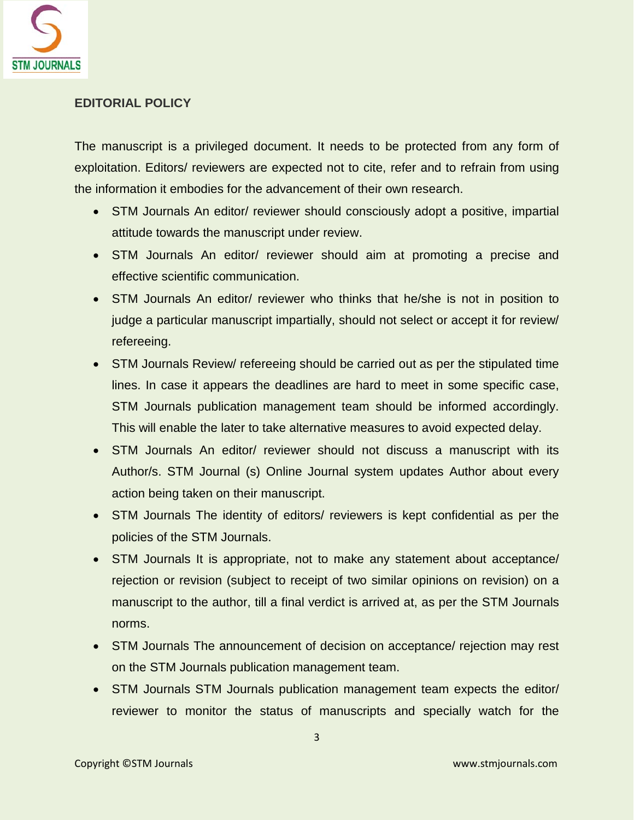

## **EDITORIAL POLICY**

The manuscript is a privileged document. It needs to be protected from any form of exploitation. Editors/ reviewers are expected not to cite, refer and to refrain from using the information it embodies for the advancement of their own research.

- STM Journals An editor/ reviewer should consciously adopt a positive, impartial attitude towards the manuscript under review.
- STM Journals An editor/ reviewer should aim at promoting a precise and effective scientific communication.
- STM Journals An editor/ reviewer who thinks that he/she is not in position to judge a particular manuscript impartially, should not select or accept it for review/ refereeing.
- STM Journals Review/ refereeing should be carried out as per the stipulated time lines. In case it appears the deadlines are hard to meet in some specific case, STM Journals publication management team should be informed accordingly. This will enable the later to take alternative measures to avoid expected delay.
- STM Journals An editor/ reviewer should not discuss a manuscript with its Author/s. STM Journal (s) Online Journal system updates Author about every action being taken on their manuscript.
- STM Journals The identity of editors/ reviewers is kept confidential as per the policies of the STM Journals.
- STM Journals It is appropriate, not to make any statement about acceptance/ rejection or revision (subject to receipt of two similar opinions on revision) on a manuscript to the author, till a final verdict is arrived at, as per the STM Journals norms.
- STM Journals The announcement of decision on acceptance/ rejection may rest on the STM Journals publication management team.
- STM Journals STM Journals publication management team expects the editor/ reviewer to monitor the status of manuscripts and specially watch for the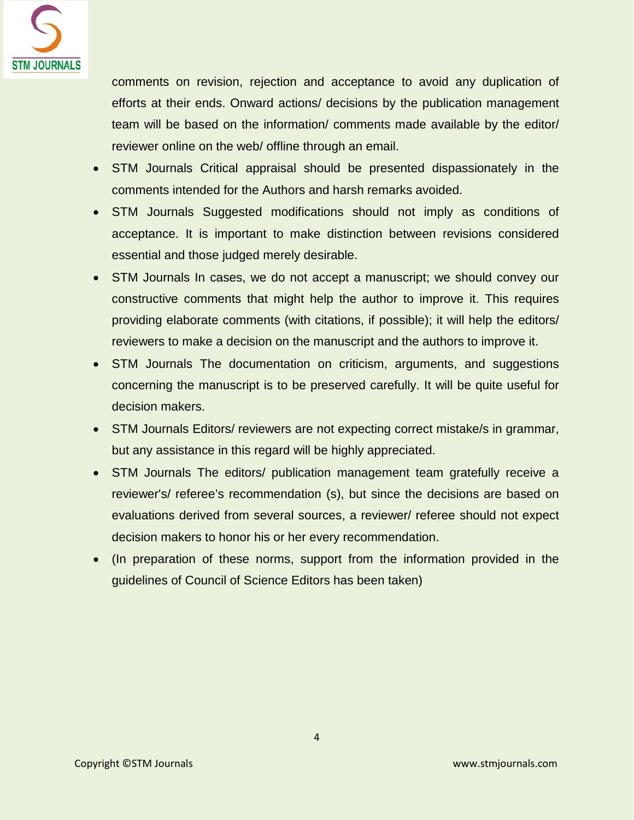

comments on revision, rejection and acceptance to avoid any duplication of efforts at their ends. Onward actions/ decisions by the publication management team will be based on the information/ comments made available by the editor/ reviewer online on the web/ offline through an email.

- STM Journals Critical appraisal should be presented dispassionately in the comments intended for the Authors and harsh remarks avoided.
- STM Journals Suggested modifications should not imply as conditions of acceptance. It is important to make distinction between revisions considered essential and those judged merely desirable.
- STM Journals In cases, we do not accept a manuscript; we should convey our constructive comments that might help the author to improve it. This requires providing elaborate comments (with citations, if possible); it will help the editors/ reviewers to make a decision on the manuscript and the authors to improve it.
- STM Journals The documentation on criticism, arguments, and suggestions concerning the manuscript is to be preserved carefully. It will be quite useful for decision makers.
- STM Journals Editors/ reviewers are not expecting correct mistake/s in grammar, but any assistance in this regard will be highly appreciated.
- STM Journals The editors/ publication management team gratefully receive a reviewer's/ referee's recommendation (s), but since the decisions are based on evaluations derived from several sources, a reviewer/ referee should not expect decision makers to honor his or her every recommendation.
- (In preparation of these norms, support from the information provided in the guidelines of Council of Science Editors has been taken)